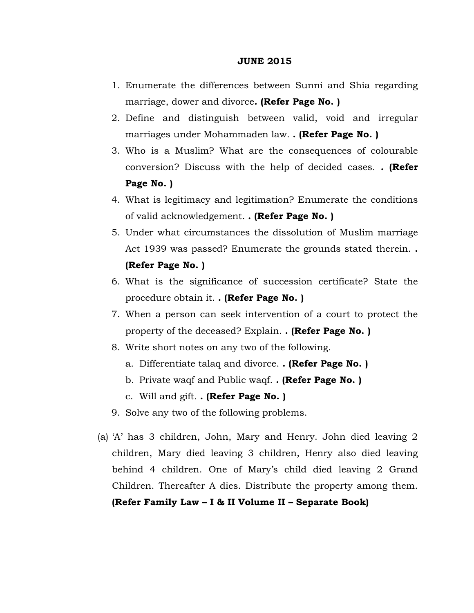## **JUNE 2015**

- 1. Enumerate the differences between Sunni and Shia regarding marriage, dower and divorce**. (Refer Page No. )**
- 2. Define and distinguish between valid, void and irregular marriages under Mohammaden law. **. (Refer Page No. )**
- 3. Who is a Muslim? What are the consequences of colourable conversion? Discuss with the help of decided cases. **. (Refer Page No. )**
- 4. What is legitimacy and legitimation? Enumerate the conditions of valid acknowledgement. **. (Refer Page No. )**
- 5. Under what circumstances the dissolution of Muslim marriage Act 1939 was passed? Enumerate the grounds stated therein. **. (Refer Page No. )**
- 6. What is the significance of succession certificate? State the procedure obtain it. **. (Refer Page No. )**
- 7. When a person can seek intervention of a court to protect the property of the deceased? Explain. **. (Refer Page No. )**
- 8. Write short notes on any two of the following.
	- a. Differentiate talaq and divorce. **. (Refer Page No. )**
	- b. Private waqf and Public waqf. **. (Refer Page No. )**
	- c. Will and gift. **. (Refer Page No. )**
- 9. Solve any two of the following problems.
- (a) 'A' has 3 children, John, Mary and Henry. John died leaving 2 children, Mary died leaving 3 children, Henry also died leaving behind 4 children. One of Mary's child died leaving 2 Grand Children. Thereafter A dies. Distribute the property among them. **(Refer Family Law – I & II Volume II – Separate Book)**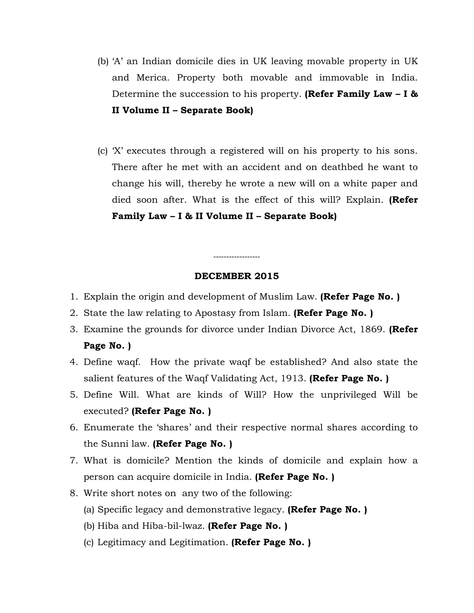- (b) 'A' an Indian domicile dies in UK leaving movable property in UK and Merica. Property both movable and immovable in India. Determine the succession to his property. **(Refer Family Law – I & II Volume II – Separate Book)**
- (c) 'X' executes through a registered will on his property to his sons. There after he met with an accident and on deathbed he want to change his will, thereby he wrote a new will on a white paper and died soon after. What is the effect of this will? Explain. **(Refer Family Law – I & II Volume II – Separate Book)**

## **DECEMBER 2015**

------------------

- 1. Explain the origin and development of Muslim Law. **(Refer Page No. )**
- 2. State the law relating to Apostasy from Islam. **(Refer Page No. )**
- 3. Examine the grounds for divorce under Indian Divorce Act, 1869. **(Refer Page No. )**
- 4. Define waqf. How the private waqf be established? And also state the salient features of the Waqf Validating Act, 1913. **(Refer Page No. )**
- 5. Define Will. What are kinds of Will? How the unprivileged Will be executed? **(Refer Page No. )**
- 6. Enumerate the 'shares' and their respective normal shares according to the Sunni law. **(Refer Page No. )**
- 7. What is domicile? Mention the kinds of domicile and explain how a person can acquire domicile in India. **(Refer Page No. )**
- 8. Write short notes on any two of the following:
	- (a) Specific legacy and demonstrative legacy. **(Refer Page No. )**
	- (b) Hiba and Hiba-bil-lwaz. **(Refer Page No. )**
	- (c) Legitimacy and Legitimation. **(Refer Page No. )**